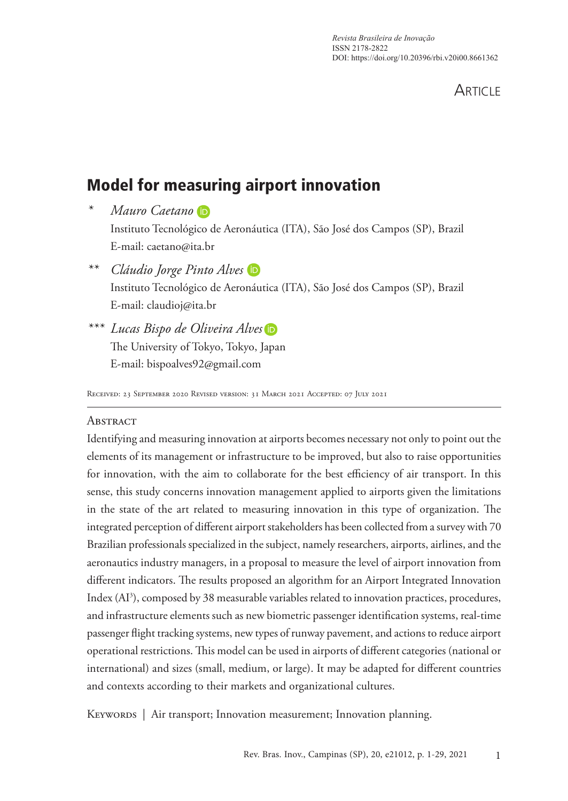**ARTICLE** 

# Model for measuring airport innovation

- *\* Mauro Caetano* Instituto Tecnológico de Aeronáutica (ITA), São José dos Campos (SP), Brazil E-mail: caetano@ita.br
- *\*\* Cláudio Jorge Pinto Alves* Instituto Tecnológico de Aeronáutica (ITA), São José dos Campos (SP), Brazil E-mail: claudioj@ita.br

*\*\*\* Lucas Bispo de Oliveira Alves* The University of Tokyo, Tokyo, Japan E-mail: bispoalves92@gmail.com

Received: 23 September 2020 Revised version: 31 March 2021 Accepted: 07 July 2021

#### **ABSTRACT**

Identifying and measuring innovation at airports becomes necessary not only to point out the elements of its management or infrastructure to be improved, but also to raise opportunities for innovation, with the aim to collaborate for the best efficiency of air transport. In this sense, this study concerns innovation management applied to airports given the limitations in the state of the art related to measuring innovation in this type of organization. The integrated perception of different airport stakeholders has been collected from a survey with 70 Brazilian professionals specialized in the subject, namely researchers, airports, airlines, and the aeronautics industry managers, in a proposal to measure the level of airport innovation from different indicators. The results proposed an algorithm for an Airport Integrated Innovation Index (AI<sup>3</sup>), composed by 38 measurable variables related to innovation practices, procedures, and infrastructure elements such as new biometric passenger identification systems, real-time passenger flight tracking systems, new types of runway pavement, and actions to reduce airport operational restrictions. This model can be used in airports of different categories (national or international) and sizes (small, medium, or large). It may be adapted for different countries and contexts according to their markets and organizational cultures.

KEYWORDS | Air transport; Innovation measurement; Innovation planning.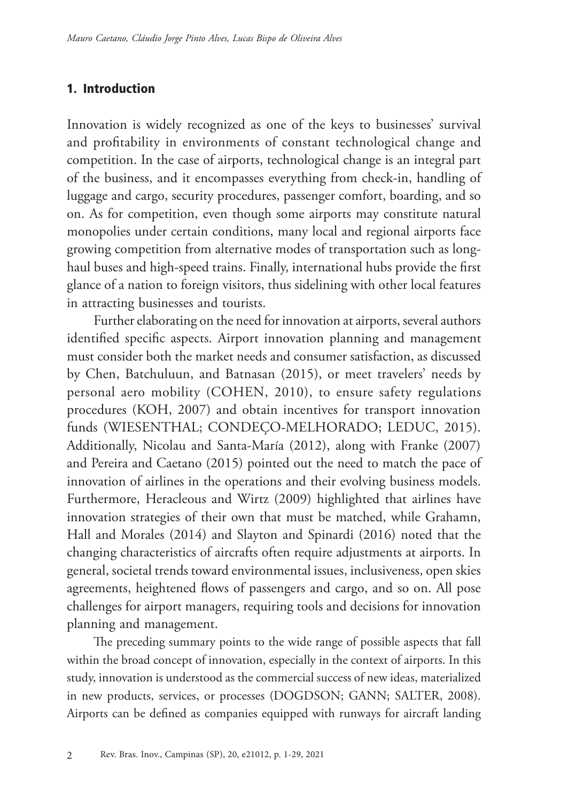#### 1. Introduction

Innovation is widely recognized as one of the keys to businesses' survival and profitability in environments of constant technological change and competition. In the case of airports, technological change is an integral part of the business, and it encompasses everything from check-in, handling of luggage and cargo, security procedures, passenger comfort, boarding, and so on. As for competition, even though some airports may constitute natural monopolies under certain conditions, many local and regional airports face growing competition from alternative modes of transportation such as longhaul buses and high-speed trains. Finally, international hubs provide the first glance of a nation to foreign visitors, thus sidelining with other local features in attracting businesses and tourists.

Further elaborating on the need for innovation at airports, several authors identified specific aspects. Airport innovation planning and management must consider both the market needs and consumer satisfaction, as discussed by Chen, Batchuluun, and Batnasan (2015), or meet travelers' needs by personal aero mobility (COHEN, 2010), to ensure safety regulations procedures (KOH, 2007) and obtain incentives for transport innovation funds (WIESENTHAL; CONDEÇO-MELHORADO; LEDUC, 2015). Additionally, Nicolau and Santa-María (2012), along with Franke (2007) and Pereira and Caetano (2015) pointed out the need to match the pace of innovation of airlines in the operations and their evolving business models. Furthermore, Heracleous and Wirtz (2009) highlighted that airlines have innovation strategies of their own that must be matched, while Grahamn, Hall and Morales (2014) and Slayton and Spinardi (2016) noted that the changing characteristics of aircrafts often require adjustments at airports. In general, societal trends toward environmental issues, inclusiveness, open skies agreements, heightened flows of passengers and cargo, and so on. All pose challenges for airport managers, requiring tools and decisions for innovation planning and management.

The preceding summary points to the wide range of possible aspects that fall within the broad concept of innovation, especially in the context of airports. In this study, innovation is understood as the commercial success of new ideas, materialized in new products, services, or processes (DOGDSON; GANN; SALTER, 2008). Airports can be defined as companies equipped with runways for aircraft landing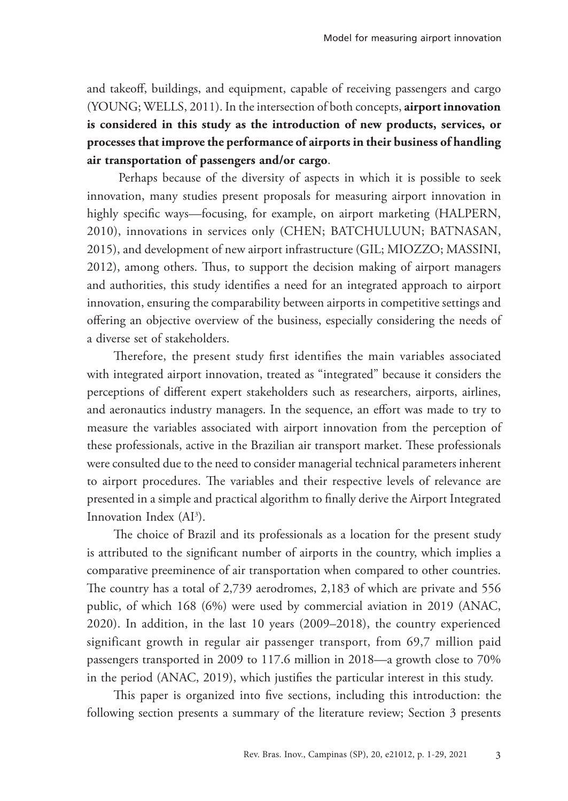and takeoff, buildings, and equipment, capable of receiving passengers and cargo (YOUNG; WELLS, 2011). In the intersection of both concepts, **airport innovation is considered in this study as the introduction of new products, services, or processes that improve the performance of airports in their business of handling air transportation of passengers and/or cargo**.

 Perhaps because of the diversity of aspects in which it is possible to seek innovation, many studies present proposals for measuring airport innovation in highly specific ways—focusing, for example, on airport marketing (HALPERN, 2010), innovations in services only (CHEN; BATCHULUUN; BATNASAN, 2015), and development of new airport infrastructure (GIL; MIOZZO; MASSINI, 2012), among others. Thus, to support the decision making of airport managers and authorities, this study identifies a need for an integrated approach to airport innovation, ensuring the comparability between airports in competitive settings and offering an objective overview of the business, especially considering the needs of a diverse set of stakeholders.

Therefore, the present study first identifies the main variables associated with integrated airport innovation, treated as "integrated" because it considers the perceptions of different expert stakeholders such as researchers, airports, airlines, and aeronautics industry managers. In the sequence, an effort was made to try to measure the variables associated with airport innovation from the perception of these professionals, active in the Brazilian air transport market. These professionals were consulted due to the need to consider managerial technical parameters inherent to airport procedures. The variables and their respective levels of relevance are presented in a simple and practical algorithm to finally derive the Airport Integrated Innovation Index (AI<sup>3</sup>).

The choice of Brazil and its professionals as a location for the present study is attributed to the significant number of airports in the country, which implies a comparative preeminence of air transportation when compared to other countries. The country has a total of 2,739 aerodromes, 2,183 of which are private and 556 public, of which 168 (6%) were used by commercial aviation in 2019 (ANAC, 2020). In addition, in the last 10 years (2009–2018), the country experienced significant growth in regular air passenger transport, from 69,7 million paid passengers transported in 2009 to 117.6 million in 2018—a growth close to 70% in the period (ANAC, 2019), which justifies the particular interest in this study.

This paper is organized into five sections, including this introduction: the following section presents a summary of the literature review; Section 3 presents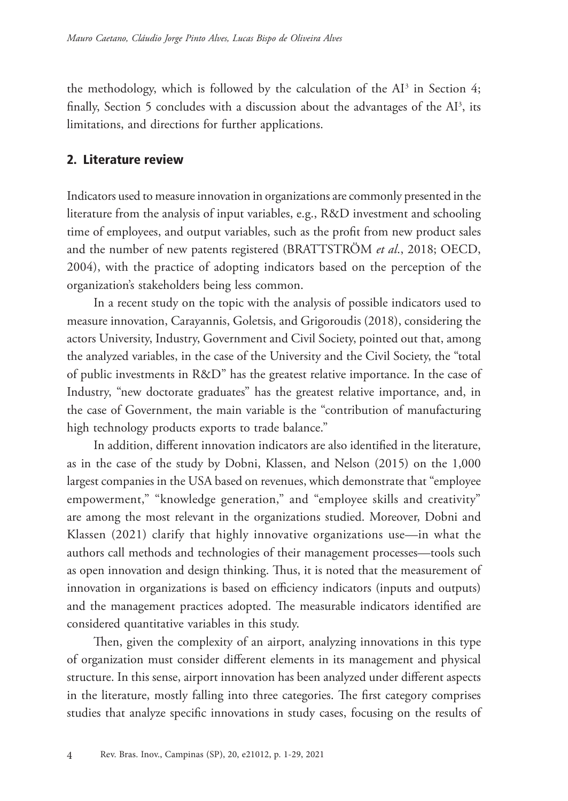the methodology, which is followed by the calculation of the  $AI<sup>3</sup>$  in Section 4; finally, Section 5 concludes with a discussion about the advantages of the  $Al^3$ , its limitations, and directions for further applications.

## 2. Literature review

Indicators used to measure innovation in organizations are commonly presented in the literature from the analysis of input variables, e.g., R&D investment and schooling time of employees, and output variables, such as the profit from new product sales and the number of new patents registered (BRATTSTRÖM *et al*., 2018; OECD, 2004), with the practice of adopting indicators based on the perception of the organization's stakeholders being less common.

In a recent study on the topic with the analysis of possible indicators used to measure innovation, Carayannis, Goletsis, and Grigoroudis (2018), considering the actors University, Industry, Government and Civil Society, pointed out that, among the analyzed variables, in the case of the University and the Civil Society, the "total of public investments in R&D" has the greatest relative importance. In the case of Industry, "new doctorate graduates" has the greatest relative importance, and, in the case of Government, the main variable is the "contribution of manufacturing high technology products exports to trade balance."

In addition, different innovation indicators are also identified in the literature, as in the case of the study by Dobni, Klassen, and Nelson (2015) on the 1,000 largest companies in the USA based on revenues, which demonstrate that "employee empowerment," "knowledge generation," and "employee skills and creativity" are among the most relevant in the organizations studied. Moreover, Dobni and Klassen (2021) clarify that highly innovative organizations use—in what the authors call methods and technologies of their management processes—tools such as open innovation and design thinking. Thus, it is noted that the measurement of innovation in organizations is based on efficiency indicators (inputs and outputs) and the management practices adopted. The measurable indicators identified are considered quantitative variables in this study.

Then, given the complexity of an airport, analyzing innovations in this type of organization must consider different elements in its management and physical structure. In this sense, airport innovation has been analyzed under different aspects in the literature, mostly falling into three categories. The first category comprises studies that analyze specific innovations in study cases, focusing on the results of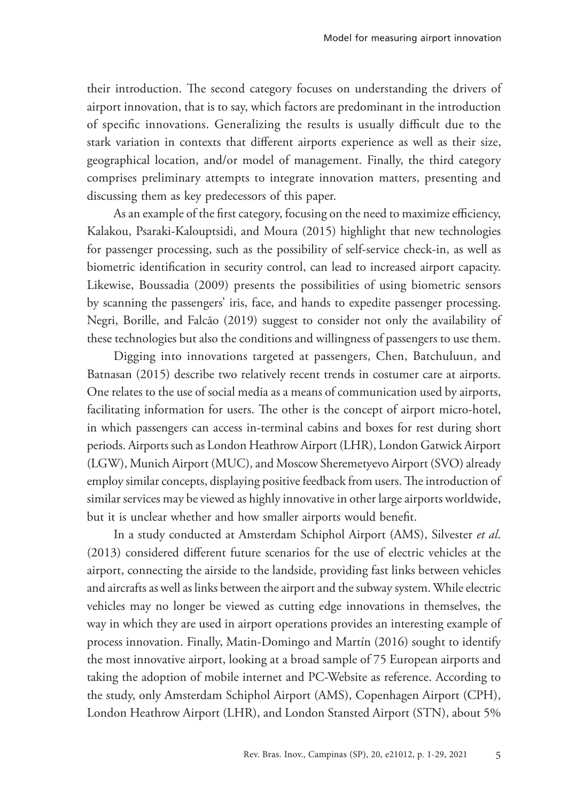their introduction. The second category focuses on understanding the drivers of airport innovation, that is to say, which factors are predominant in the introduction of specific innovations. Generalizing the results is usually difficult due to the stark variation in contexts that different airports experience as well as their size, geographical location, and/or model of management. Finally, the third category comprises preliminary attempts to integrate innovation matters, presenting and discussing them as key predecessors of this paper.

As an example of the first category, focusing on the need to maximize efficiency, Kalakou, Psaraki-Kalouptsidi, and Moura (2015) highlight that new technologies for passenger processing, such as the possibility of self-service check-in, as well as biometric identification in security control, can lead to increased airport capacity. Likewise, Boussadia (2009) presents the possibilities of using biometric sensors by scanning the passengers' iris, face, and hands to expedite passenger processing. Negri, Borille, and Falcão (2019) suggest to consider not only the availability of these technologies but also the conditions and willingness of passengers to use them.

Digging into innovations targeted at passengers, Chen, Batchuluun, and Batnasan (2015) describe two relatively recent trends in costumer care at airports. One relates to the use of social media as a means of communication used by airports, facilitating information for users. The other is the concept of airport micro-hotel, in which passengers can access in-terminal cabins and boxes for rest during short periods. Airports such as London Heathrow Airport (LHR), London Gatwick Airport (LGW), Munich Airport (MUC), and Moscow Sheremetyevo Airport (SVO) already employ similar concepts, displaying positive feedback from users. The introduction of similar services may be viewed as highly innovative in other large airports worldwide, but it is unclear whether and how smaller airports would benefit.

In a study conducted at Amsterdam Schiphol Airport (AMS), Silvester *et al*. (2013) considered different future scenarios for the use of electric vehicles at the airport, connecting the airside to the landside, providing fast links between vehicles and aircrafts as well as links between the airport and the subway system. While electric vehicles may no longer be viewed as cutting edge innovations in themselves, the way in which they are used in airport operations provides an interesting example of process innovation. Finally, Matin-Domingo and Martín (2016) sought to identify the most innovative airport, looking at a broad sample of 75 European airports and taking the adoption of mobile internet and PC-Website as reference. According to the study, only Amsterdam Schiphol Airport (AMS), Copenhagen Airport (CPH), London Heathrow Airport (LHR), and London Stansted Airport (STN), about 5%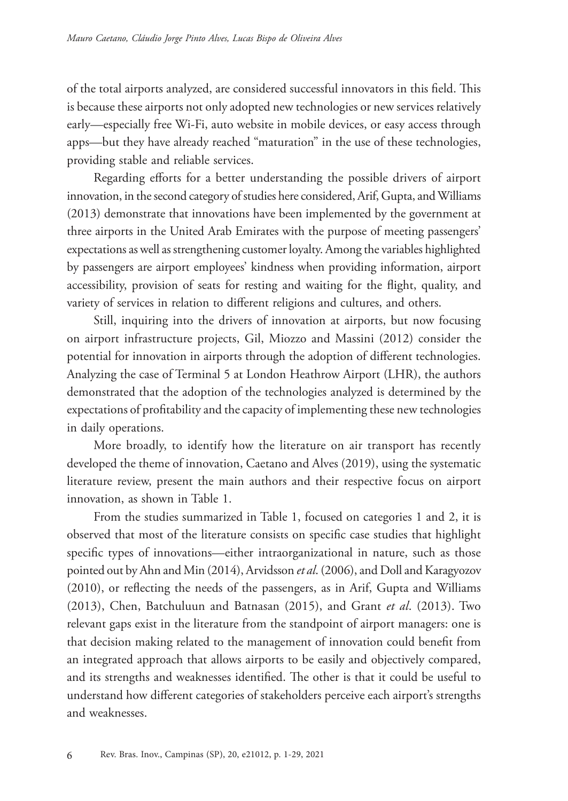of the total airports analyzed, are considered successful innovators in this field. This is because these airports not only adopted new technologies or new services relatively early—especially free Wi-Fi, auto website in mobile devices, or easy access through apps—but they have already reached "maturation" in the use of these technologies, providing stable and reliable services.

Regarding efforts for a better understanding the possible drivers of airport innovation, in the second category of studies here considered, Arif, Gupta, and Williams (2013) demonstrate that innovations have been implemented by the government at three airports in the United Arab Emirates with the purpose of meeting passengers' expectations as well as strengthening customer loyalty. Among the variables highlighted by passengers are airport employees' kindness when providing information, airport accessibility, provision of seats for resting and waiting for the flight, quality, and variety of services in relation to different religions and cultures, and others.

Still, inquiring into the drivers of innovation at airports, but now focusing on airport infrastructure projects, Gil, Miozzo and Massini (2012) consider the potential for innovation in airports through the adoption of different technologies. Analyzing the case of Terminal 5 at London Heathrow Airport (LHR), the authors demonstrated that the adoption of the technologies analyzed is determined by the expectations of profitability and the capacity of implementing these new technologies in daily operations.

More broadly, to identify how the literature on air transport has recently developed the theme of innovation, Caetano and Alves (2019), using the systematic literature review, present the main authors and their respective focus on airport innovation, as shown in Table 1.

From the studies summarized in Table 1, focused on categories 1 and 2, it is observed that most of the literature consists on specific case studies that highlight specific types of innovations—either intraorganizational in nature, such as those pointed out by Ahn and Min (2014), Arvidsson *et al*. (2006), and Doll and Karagyozov (2010), or reflecting the needs of the passengers, as in Arif, Gupta and Williams (2013), Chen, Batchuluun and Batnasan (2015), and Grant *et al*. (2013). Two relevant gaps exist in the literature from the standpoint of airport managers: one is that decision making related to the management of innovation could benefit from an integrated approach that allows airports to be easily and objectively compared, and its strengths and weaknesses identified. The other is that it could be useful to understand how different categories of stakeholders perceive each airport's strengths and weaknesses.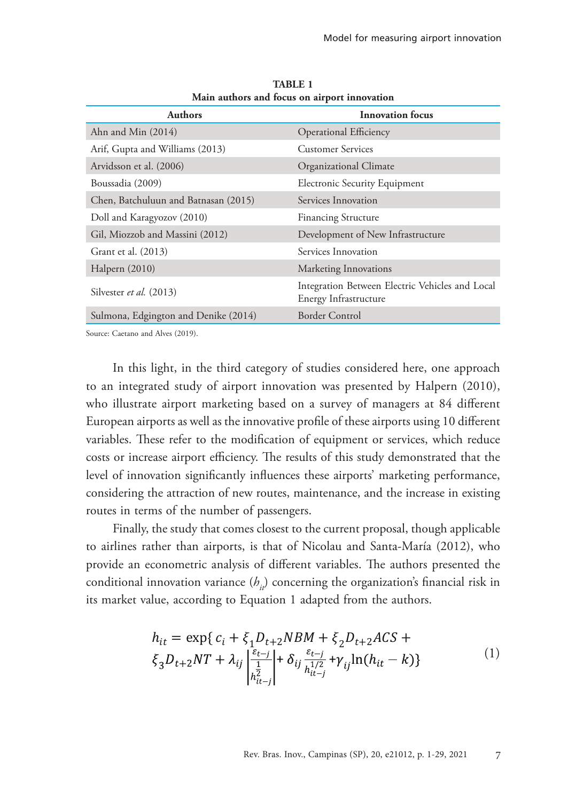| <b>Authors</b>                       | <b>Innovation</b> focus                                                  |  |  |
|--------------------------------------|--------------------------------------------------------------------------|--|--|
| Ahn and Min (2014)                   | <b>Operational Efficiency</b>                                            |  |  |
| Arif, Gupta and Williams (2013)      | <b>Customer Services</b>                                                 |  |  |
| Arvidsson et al. (2006)              | Organizational Climate                                                   |  |  |
| Boussadia (2009)                     | <b>Electronic Security Equipment</b>                                     |  |  |
| Chen, Batchuluun and Batnasan (2015) | Services Innovation                                                      |  |  |
| Doll and Karagyozov (2010)           | <b>Financing Structure</b>                                               |  |  |
| Gil, Miozzob and Massini (2012)      | Development of New Infrastructure                                        |  |  |
| Grant et al. (2013)                  | Services Innovation                                                      |  |  |
| Halpern $(2010)$                     | Marketing Innovations                                                    |  |  |
| Silvester et al. (2013)              | Integration Between Electric Vehicles and Local<br>Energy Infrastructure |  |  |
| Sulmona, Edgington and Denike (2014) | <b>Border Control</b>                                                    |  |  |

**TABLE 1 Main authors and focus on airport innovation**

Source: Caetano and Alves (2019).

In this light, in the third category of studies considered here, one approach to an integrated study of airport innovation was presented by Halpern (2010), who illustrate airport marketing based on a survey of managers at 84 different European airports as well as the innovative profile of these airports using 10 different variables. These refer to the modification of equipment or services, which reduce costs or increase airport efficiency. The results of this study demonstrated that the level of innovation significantly influences these airports' marketing performance, considering the attraction of new routes, maintenance, and the increase in existing routes in terms of the number of passengers.

Finally, the study that comes closest to the current proposal, though applicable to airlines rather than airports, is that of Nicolau and Santa-María (2012), who provide an econometric analysis of different variables. The authors presented the conditional innovation variance (*h<sub>ii</sub>*) concerning the organization's financial risk in its market value, according to Equation 1 adapted from the authors.

$$
h_{it} = \exp\{c_i + \xi_1 D_{t+2} N B M + \xi_2 D_{t+2} A C S + \xi_3 D_{t+2} N T + \lambda_{ij} \left| \frac{\xi_{t-j}}{\frac{1}{h_{it-j}^2}} \right| + \delta_{ij} \frac{\xi_{t-j}}{h_{it-j}^{1/2}} + \gamma_{ij} \ln(h_{it} - k)\}
$$
(1)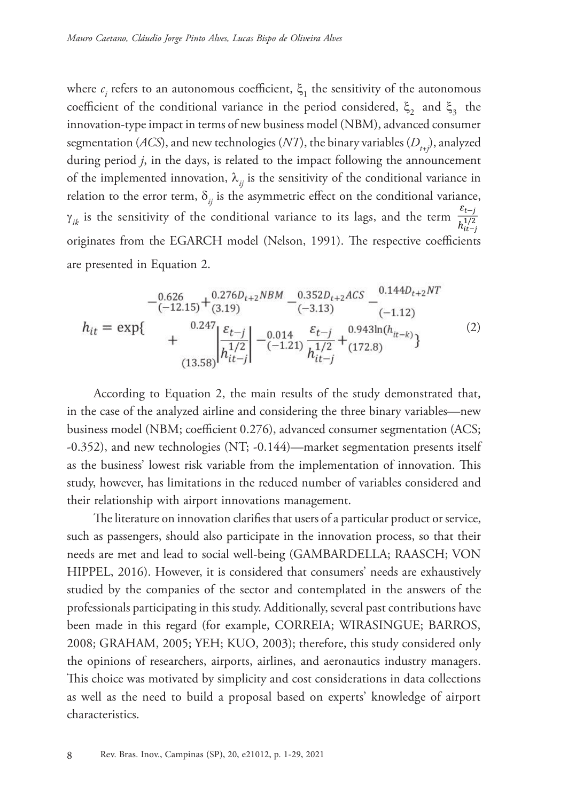where  $c_i$  refers to an autonomous coefficient,  $\xi_1$  the sensitivity of the autonomous coefficient of the conditional variance in the period considered,  $\xi_2$  and  $\xi_3$  the innovation-type impact in terms of new business model (NBM), advanced consumer segmentation (*ACS*), and new technologies (*NT*), the binary variables ( $D_{t+1}$ ), analyzed during period *j*, in the days, is related to the impact following the announcement of the implemented innovation,  $\lambda_{ij}$  is the sensitivity of the conditional variance in relation to the error term,  $\delta_{ij}$  is the asymmetric effect on the conditional variance,  $\gamma_{ik}$  is the sensitivity of the conditional variance to its lags, and the term  $\frac{\varepsilon_{t-j}}{h_{i\tau_{t-j}}^{1/2}}$ originates from the EGARCH model (Nelson, 1991). The respective coefficients are presented in Equation 2.

$$
- \frac{0.626}{(-12.15)} + \frac{0.276D_{t+2}NBM}{(3.19)} - \frac{0.352D_{t+2}ACS}{(-3.13)} - \frac{0.144D_{t+2}NT}{(-1.12)}
$$
  
\n
$$
h_{it} = \exp\left\{\n\begin{array}{c}\n0.247 \\
+ \frac{6t-j}{h^{1/2}}\n\end{array}\n\right| - \frac{0.014}{(-1.21)} \frac{\varepsilon_{t-j}}{h^{1/2}} + \frac{0.943\ln(h_{it-k})}{(172.8)}\n\tag{2}
$$

According to Equation 2, the main results of the study demonstrated that, in the case of the analyzed airline and considering the three binary variables—new business model (NBM; coefficient 0.276), advanced consumer segmentation (ACS; -0.352), and new technologies (NT; -0.144)—market segmentation presents itself as the business' lowest risk variable from the implementation of innovation. This study, however, has limitations in the reduced number of variables considered and their relationship with airport innovations management.

The literature on innovation clarifies that users of a particular product or service, such as passengers, should also participate in the innovation process, so that their needs are met and lead to social well-being (GAMBARDELLA; RAASCH; VON HIPPEL, 2016). However, it is considered that consumers' needs are exhaustively studied by the companies of the sector and contemplated in the answers of the professionals participating in this study. Additionally, several past contributions have been made in this regard (for example, CORREIA; WIRASINGUE; BARROS, 2008; GRAHAM, 2005; YEH; KUO, 2003); therefore, this study considered only the opinions of researchers, airports, airlines, and aeronautics industry managers. This choice was motivated by simplicity and cost considerations in data collections as well as the need to build a proposal based on experts' knowledge of airport characteristics.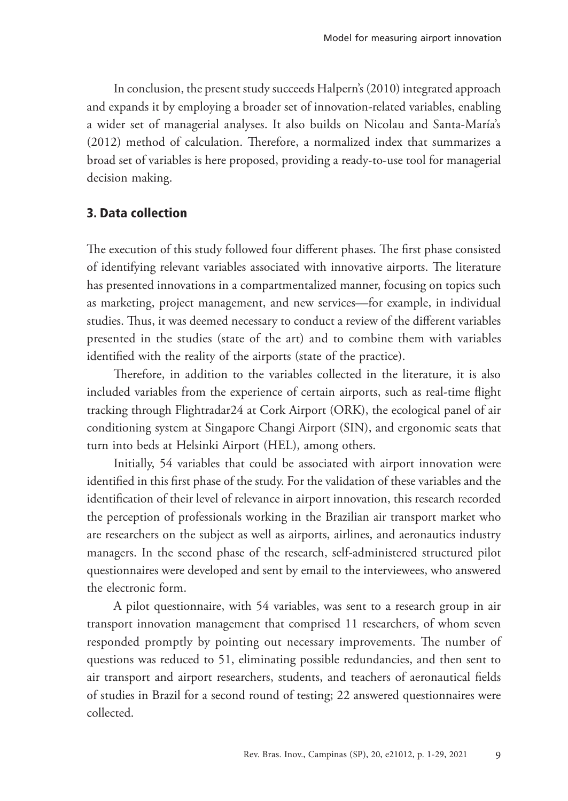In conclusion, the present study succeeds Halpern's (2010) integrated approach and expands it by employing a broader set of innovation-related variables, enabling a wider set of managerial analyses. It also builds on Nicolau and Santa-María's (2012) method of calculation. Therefore, a normalized index that summarizes a broad set of variables is here proposed, providing a ready-to-use tool for managerial decision making.

## 3. Data collection

The execution of this study followed four different phases. The first phase consisted of identifying relevant variables associated with innovative airports. The literature has presented innovations in a compartmentalized manner, focusing on topics such as marketing, project management, and new services—for example, in individual studies. Thus, it was deemed necessary to conduct a review of the different variables presented in the studies (state of the art) and to combine them with variables identified with the reality of the airports (state of the practice).

Therefore, in addition to the variables collected in the literature, it is also included variables from the experience of certain airports, such as real-time flight tracking through Flightradar24 at Cork Airport (ORK), the ecological panel of air conditioning system at Singapore Changi Airport (SIN), and ergonomic seats that turn into beds at Helsinki Airport (HEL), among others.

Initially, 54 variables that could be associated with airport innovation were identified in this first phase of the study. For the validation of these variables and the identification of their level of relevance in airport innovation, this research recorded the perception of professionals working in the Brazilian air transport market who are researchers on the subject as well as airports, airlines, and aeronautics industry managers. In the second phase of the research, self-administered structured pilot questionnaires were developed and sent by email to the interviewees, who answered the electronic form.

A pilot questionnaire, with 54 variables, was sent to a research group in air transport innovation management that comprised 11 researchers, of whom seven responded promptly by pointing out necessary improvements. The number of questions was reduced to 51, eliminating possible redundancies, and then sent to air transport and airport researchers, students, and teachers of aeronautical fields of studies in Brazil for a second round of testing; 22 answered questionnaires were collected.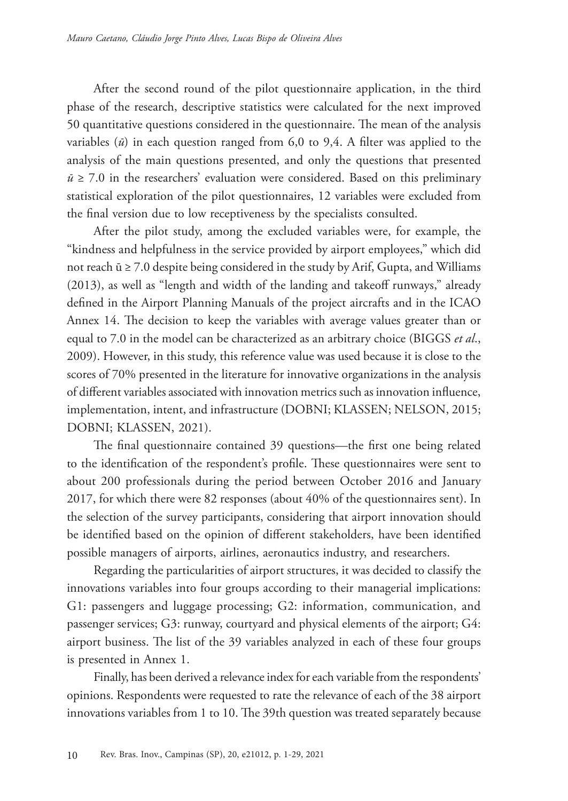After the second round of the pilot questionnaire application, in the third phase of the research, descriptive statistics were calculated for the next improved 50 quantitative questions considered in the questionnaire. The mean of the analysis variables (*ū*) in each question ranged from 6,0 to 9,4. A filter was applied to the analysis of the main questions presented, and only the questions that presented  $\bar{u}$  ≥ 7.0 in the researchers' evaluation were considered. Based on this preliminary statistical exploration of the pilot questionnaires, 12 variables were excluded from the final version due to low receptiveness by the specialists consulted.

After the pilot study, among the excluded variables were, for example, the "kindness and helpfulness in the service provided by airport employees," which did not reach ū ≥ 7.0 despite being considered in the study by Arif, Gupta, and Williams (2013), as well as "length and width of the landing and takeoff runways," already defined in the Airport Planning Manuals of the project aircrafts and in the ICAO Annex 14. The decision to keep the variables with average values greater than or equal to 7.0 in the model can be characterized as an arbitrary choice (BIGGS *et al*., 2009). However, in this study, this reference value was used because it is close to the scores of 70% presented in the literature for innovative organizations in the analysis of different variables associated with innovation metrics such as innovation influence, implementation, intent, and infrastructure (DOBNI; KLASSEN; NELSON, 2015; DOBNI; KLASSEN, 2021).

The final questionnaire contained 39 questions—the first one being related to the identification of the respondent's profile. These questionnaires were sent to about 200 professionals during the period between October 2016 and January 2017, for which there were 82 responses (about 40% of the questionnaires sent). In the selection of the survey participants, considering that airport innovation should be identified based on the opinion of different stakeholders, have been identified possible managers of airports, airlines, aeronautics industry, and researchers.

Regarding the particularities of airport structures, it was decided to classify the innovations variables into four groups according to their managerial implications: G1: passengers and luggage processing; G2: information, communication, and passenger services; G3: runway, courtyard and physical elements of the airport; G4: airport business. The list of the 39 variables analyzed in each of these four groups is presented in Annex 1.

Finally, has been derived a relevance index for each variable from the respondents' opinions. Respondents were requested to rate the relevance of each of the 38 airport innovations variables from 1 to 10. The 39th question was treated separately because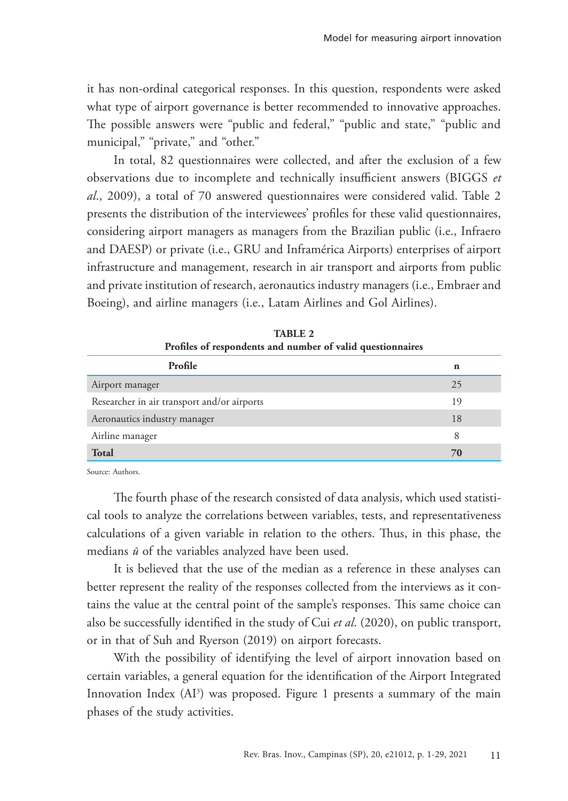it has non-ordinal categorical responses. In this question, respondents were asked what type of airport governance is better recommended to innovative approaches. The possible answers were "public and federal," "public and state," "public and municipal," "private," and "other."

In total, 82 questionnaires were collected, and after the exclusion of a few observations due to incomplete and technically insufficient answers (BIGGS *et al*., 2009), a total of 70 answered questionnaires were considered valid. Table 2 presents the distribution of the interviewees' profiles for these valid questionnaires, considering airport managers as managers from the Brazilian public (i.e., Infraero and DAESP) or private (i.e., GRU and Inframérica Airports) enterprises of airport infrastructure and management, research in air transport and airports from public and private institution of research, aeronautics industry managers (i.e., Embraer and Boeing), and airline managers (i.e., Latam Airlines and Gol Airlines).

| Tromes or respondents and number or valid questionnaires |    |  |
|----------------------------------------------------------|----|--|
| Profile                                                  | n  |  |
| Airport manager                                          | 25 |  |
| Researcher in air transport and/or airports              | 19 |  |
| Aeronautics industry manager                             | 18 |  |
| Airline manager                                          | 8  |  |
| <b>Total</b>                                             | 70 |  |

**TABLE 2 Profiles of respondents and number of valid questionnaires**

Source: Authors.

The fourth phase of the research consisted of data analysis, which used statistical tools to analyze the correlations between variables, tests, and representativeness calculations of a given variable in relation to the others. Thus, in this phase, the medians *ū* of the variables analyzed have been used.

It is believed that the use of the median as a reference in these analyses can better represent the reality of the responses collected from the interviews as it contains the value at the central point of the sample's responses. This same choice can also be successfully identified in the study of Cui *et al*. (2020), on public transport, or in that of Suh and Ryerson (2019) on airport forecasts.

With the possibility of identifying the level of airport innovation based on certain variables, a general equation for the identification of the Airport Integrated Innovation Index (AI3 ) was proposed. Figure 1 presents a summary of the main phases of the study activities.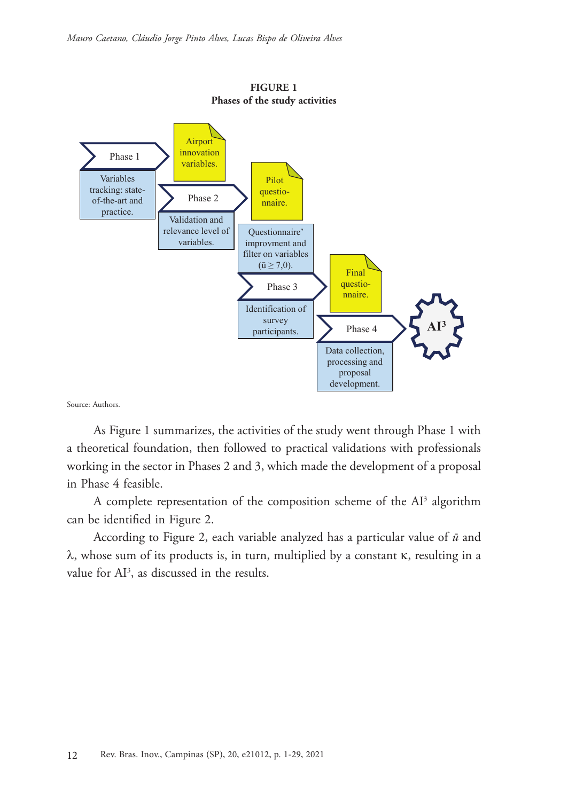

**FIGURE 1 Phases of the study activities**

Source: Authors.

As Figure 1 summarizes, the activities of the study went through Phase 1 with a theoretical foundation, then followed to practical validations with professionals working in the sector in Phases 2 and 3, which made the development of a proposal in Phase 4 feasible.

A complete representation of the composition scheme of the AI<sup>3</sup> algorithm can be identified in Figure 2.

According to Figure 2, each variable analyzed has a particular value of *ū* and λ, whose sum of its products is, in turn, multiplied by a constant κ, resulting in a value for  $AI^3$ , as discussed in the results.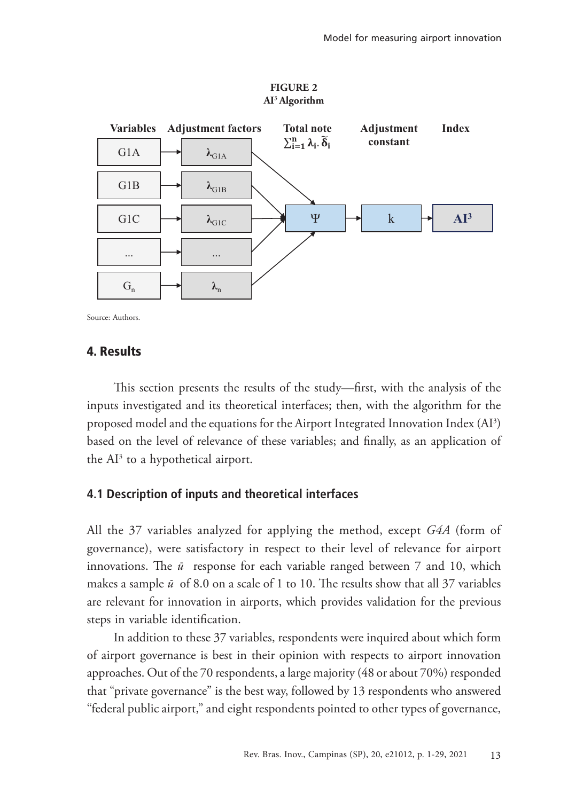

**FIGURE 2 AI3 Algorithm**

Source: Authors.

#### 4. Results

This section presents the results of the study—first, with the analysis of the inputs investigated and its theoretical interfaces; then, with the algorithm for the proposed model and the equations for the Airport Integrated Innovation Index (AI3 ) based on the level of relevance of these variables; and finally, as an application of the  $Al^3$  to a hypothetical airport.

#### **4.1 Description of inputs and theoretical interfaces**

All the 37 variables analyzed for applying the method, except *G4A* (form of governance), were satisfactory in respect to their level of relevance for airport innovations. The *ū* response for each variable ranged between 7 and 10, which makes a sample *ū* of 8.0 on a scale of 1 to 10. The results show that all 37 variables are relevant for innovation in airports, which provides validation for the previous steps in variable identification.

In addition to these 37 variables, respondents were inquired about which form of airport governance is best in their opinion with respects to airport innovation approaches. Out of the 70 respondents, a large majority (48 or about 70%) responded that "private governance" is the best way, followed by 13 respondents who answered "federal public airport," and eight respondents pointed to other types of governance,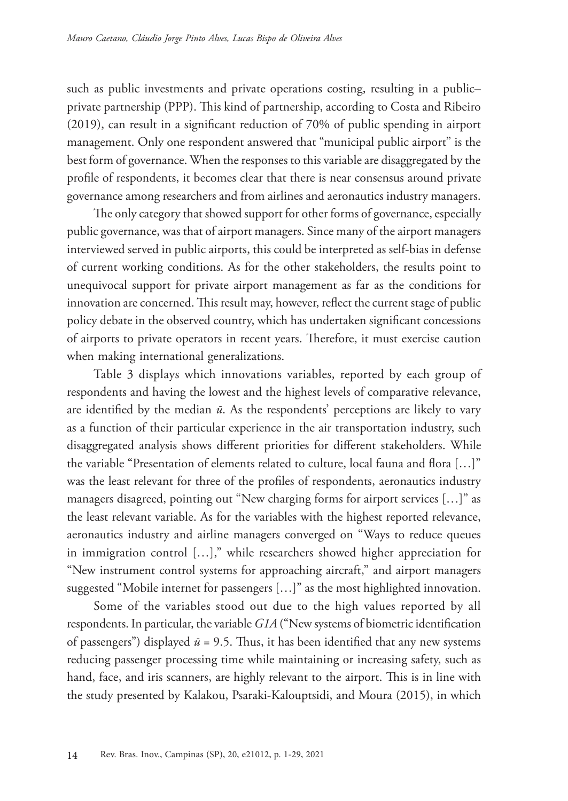such as public investments and private operations costing, resulting in a public– private partnership (PPP). This kind of partnership, according to Costa and Ribeiro (2019), can result in a significant reduction of 70% of public spending in airport management. Only one respondent answered that "municipal public airport" is the best form of governance. When the responses to this variable are disaggregated by the profile of respondents, it becomes clear that there is near consensus around private governance among researchers and from airlines and aeronautics industry managers.

The only category that showed support for other forms of governance, especially public governance, was that of airport managers. Since many of the airport managers interviewed served in public airports, this could be interpreted as self-bias in defense of current working conditions. As for the other stakeholders, the results point to unequivocal support for private airport management as far as the conditions for innovation are concerned. This result may, however, reflect the current stage of public policy debate in the observed country, which has undertaken significant concessions of airports to private operators in recent years. Therefore, it must exercise caution when making international generalizations.

Table 3 displays which innovations variables, reported by each group of respondents and having the lowest and the highest levels of comparative relevance, are identified by the median *ū*. As the respondents' perceptions are likely to vary as a function of their particular experience in the air transportation industry, such disaggregated analysis shows different priorities for different stakeholders. While the variable "Presentation of elements related to culture, local fauna and flora […]" was the least relevant for three of the profiles of respondents, aeronautics industry managers disagreed, pointing out "New charging forms for airport services […]" as the least relevant variable. As for the variables with the highest reported relevance, aeronautics industry and airline managers converged on "Ways to reduce queues in immigration control […]," while researchers showed higher appreciation for "New instrument control systems for approaching aircraft," and airport managers suggested "Mobile internet for passengers […]" as the most highlighted innovation.

Some of the variables stood out due to the high values reported by all respondents. In particular, the variable *G1A* ("New systems of biometric identification of passengers") displayed  $\bar{u}$  = 9.5. Thus, it has been identified that any new systems reducing passenger processing time while maintaining or increasing safety, such as hand, face, and iris scanners, are highly relevant to the airport. This is in line with the study presented by Kalakou, Psaraki-Kalouptsidi, and Moura (2015), in which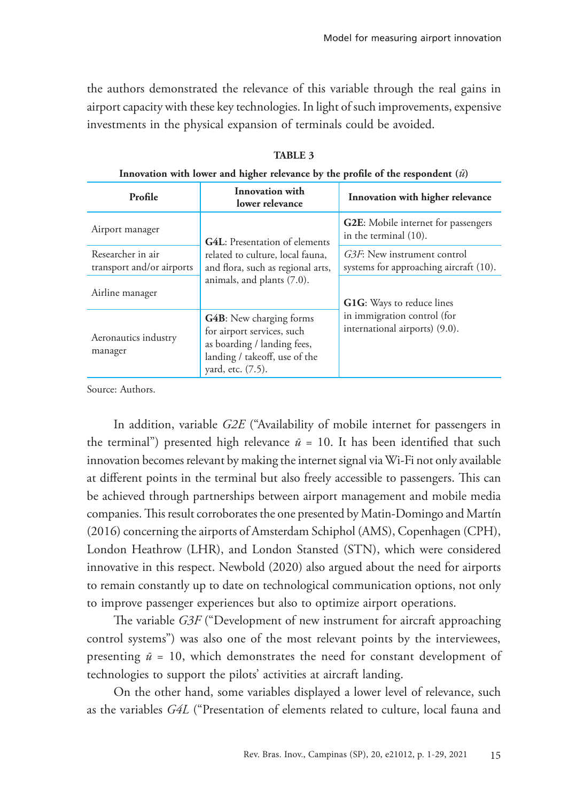the authors demonstrated the relevance of this variable through the real gains in airport capacity with these key technologies. In light of such improvements, expensive investments in the physical expansion of terminals could be avoided.

| Profile                                        | Innovation with<br>lower relevance                                                                                                                 | Innovation with higher relevance                                      |  |
|------------------------------------------------|----------------------------------------------------------------------------------------------------------------------------------------------------|-----------------------------------------------------------------------|--|
| Airport manager                                | <b>G4L:</b> Presentation of elements                                                                                                               | <b>G2E:</b> Mobile internet for passengers<br>in the terminal (10).   |  |
| Researcher in air<br>transport and/or airports | related to culture, local fauna,<br>and flora, such as regional arts,                                                                              | G3F: New instrument control<br>systems for approaching aircraft (10). |  |
| Airline manager                                | animals, and plants (7.0).                                                                                                                         | G1G: Ways to reduce lines                                             |  |
| Aeronautics industry<br>manager                | <b>G4B</b> : New charging forms<br>for airport services, such<br>as boarding / landing fees,<br>landing / takeoff, use of the<br>yard, etc. (7.5). | in immigration control (for<br>international airports) (9.0).         |  |

**TABLE 3**

**Innovation with lower and higher relevance by the profile of the respondent (***ū***)**

Source: Authors.

In addition, variable *G2E* ("Availability of mobile internet for passengers in the terminal") presented high relevance  $\bar{u} = 10$ . It has been identified that such innovation becomes relevant by making the internet signal via Wi-Fi not only available at different points in the terminal but also freely accessible to passengers. This can be achieved through partnerships between airport management and mobile media companies. This result corroborates the one presented by Matin-Domingo and Martín (2016) concerning the airports of Amsterdam Schiphol (AMS), Copenhagen (CPH), London Heathrow (LHR), and London Stansted (STN), which were considered innovative in this respect. Newbold (2020) also argued about the need for airports to remain constantly up to date on technological communication options, not only to improve passenger experiences but also to optimize airport operations.

The variable *G3F* ("Development of new instrument for aircraft approaching control systems") was also one of the most relevant points by the interviewees, presenting *ū* = 10, which demonstrates the need for constant development of technologies to support the pilots' activities at aircraft landing.

On the other hand, some variables displayed a lower level of relevance, such as the variables *G4L* ("Presentation of elements related to culture, local fauna and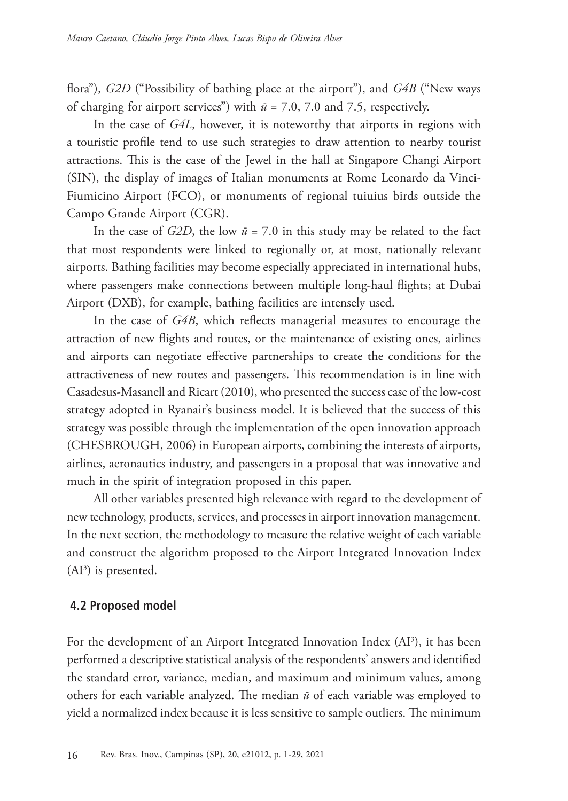flora"), *G2D* ("Possibility of bathing place at the airport"), and *G4B* ("New ways of charging for airport services") with  $\bar{u}$  = 7.0, 7.0 and 7.5, respectively.

In the case of *G4L*, however, it is noteworthy that airports in regions with a touristic profile tend to use such strategies to draw attention to nearby tourist attractions. This is the case of the Jewel in the hall at Singapore Changi Airport (SIN), the display of images of Italian monuments at Rome Leonardo da Vinci-Fiumicino Airport (FCO), or monuments of regional tuiuius birds outside the Campo Grande Airport (CGR).

In the case of  $G2D$ , the low  $\bar{u}$  = 7.0 in this study may be related to the fact that most respondents were linked to regionally or, at most, nationally relevant airports. Bathing facilities may become especially appreciated in international hubs, where passengers make connections between multiple long-haul flights; at Dubai Airport (DXB), for example, bathing facilities are intensely used.

In the case of *G4B*, which reflects managerial measures to encourage the attraction of new flights and routes, or the maintenance of existing ones, airlines and airports can negotiate effective partnerships to create the conditions for the attractiveness of new routes and passengers. This recommendation is in line with Casadesus-Masanell and Ricart (2010), who presented the success case of the low-cost strategy adopted in Ryanair's business model. It is believed that the success of this strategy was possible through the implementation of the open innovation approach (CHESBROUGH, 2006) in European airports, combining the interests of airports, airlines, aeronautics industry, and passengers in a proposal that was innovative and much in the spirit of integration proposed in this paper.

All other variables presented high relevance with regard to the development of new technology, products, services, and processes in airport innovation management. In the next section, the methodology to measure the relative weight of each variable and construct the algorithm proposed to the Airport Integrated Innovation Index  $(AI<sup>3</sup>)$  is presented.

#### **4.2 Proposed model**

For the development of an Airport Integrated Innovation Index (AI<sup>3</sup>), it has been performed a descriptive statistical analysis of the respondents' answers and identified the standard error, variance, median, and maximum and minimum values, among others for each variable analyzed. The median *ū* of each variable was employed to yield a normalized index because it is less sensitive to sample outliers. The minimum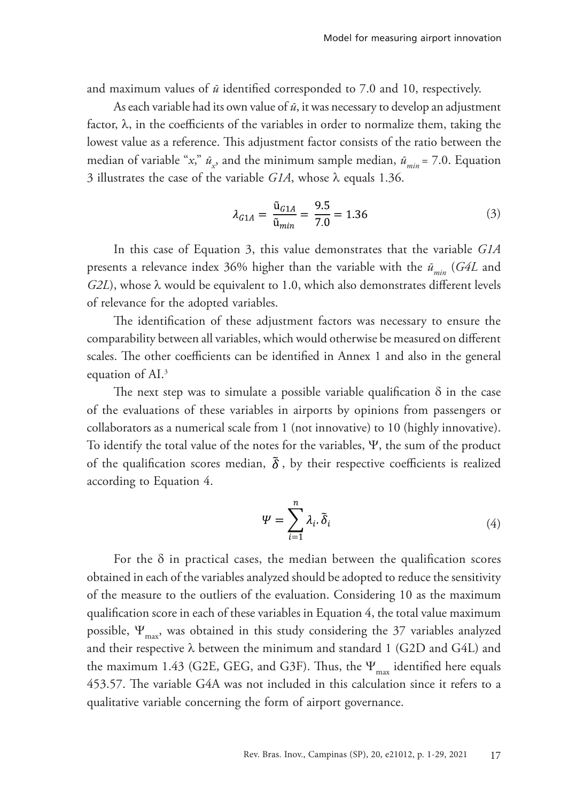and maximum values of *ū* identified corresponded to 7.0 and 10, respectively.

As each variable had its own value of *ū*, it was necessary to develop an adjustment factor, λ, in the coefficients of the variables in order to normalize them, taking the lowest value as a reference. This adjustment factor consists of the ratio between the median of variable "*x*,"  $\bar{u}_x$ , and the minimum sample median,  $\bar{u}_{min}$  = 7.0. Equation 3 illustrates the case of the variable *G1A*, whose λ equals 1.36.

$$
\lambda_{G1A} = \frac{\tilde{u}_{G1A}}{\tilde{u}_{min}} = \frac{9.5}{7.0} = 1.36\tag{3}
$$

In this case of Equation 3, this value demonstrates that the variable *G1A* presents a relevance index 36% higher than the variable with the  $\bar{u}_{min}$  (*G4L* and *G2L*), whose λ would be equivalent to 1.0, which also demonstrates different levels of relevance for the adopted variables.

The identification of these adjustment factors was necessary to ensure the comparability between all variables, which would otherwise be measured on different scales. The other coefficients can be identified in Annex 1 and also in the general equation of AI.<sup>3</sup>

The next step was to simulate a possible variable qualification  $\delta$  in the case of the evaluations of these variables in airports by opinions from passengers or collaborators as a numerical scale from 1 (not innovative) to 10 (highly innovative). To identify the total value of the notes for the variables, Ψ, the sum of the product of the qualification scores median,  $\tilde{\delta}$ , by their respective coefficients is realized according to Equation 4.

$$
\Psi = \sum_{i=1}^{n} \lambda_i \cdot \tilde{\delta}_i \tag{4}
$$

For the  $\delta$  in practical cases, the median between the qualification scores obtained in each of the variables analyzed should be adopted to reduce the sensitivity of the measure to the outliers of the evaluation. Considering 10 as the maximum qualification score in each of these variables in Equation 4, the total value maximum possible,  $\Psi_{\text{max}}$ , was obtained in this study considering the 37 variables analyzed and their respective  $\lambda$  between the minimum and standard 1 (G2D and G4L) and the maximum 1.43 (G2E, GEG, and G3F). Thus, the  $\Psi_{\text{max}}$  identified here equals 453.57. The variable G4A was not included in this calculation since it refers to a qualitative variable concerning the form of airport governance.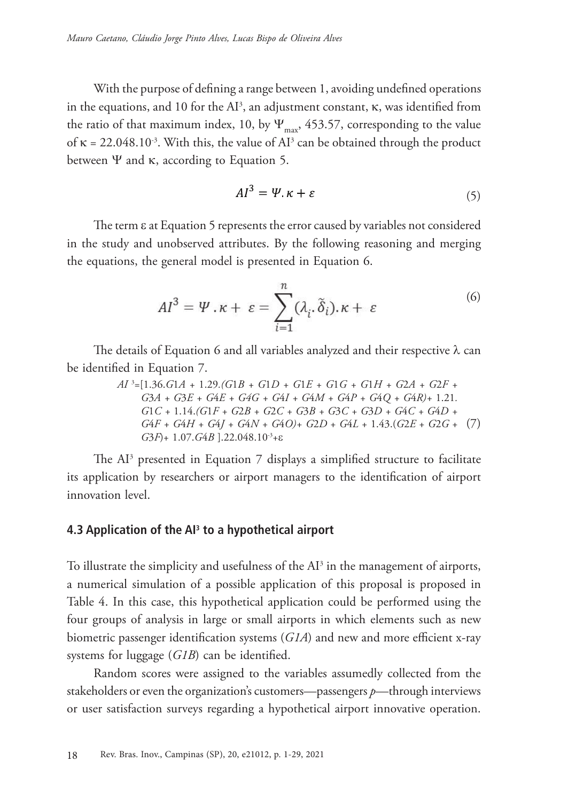With the purpose of defining a range between 1, avoiding undefined operations in the equations, and 10 for the  $AI^3$ , an adjustment constant,  $\kappa$ , was identified from the ratio of that maximum index, 10, by  $\Psi_{\text{max}}$ , 453.57, corresponding to the value of  $\kappa = 22.048.10^3$ . With this, the value of AI<sup>3</sup> can be obtained through the product between  $\Psi$  and  $\kappa$ , according to Equation 5.

$$
AI^3 = \Psi \cdot \kappa + \varepsilon \tag{5}
$$

The term ε at Equation 5 represents the error caused by variables not considered in the study and unobserved attributes. By the following reasoning and merging the equations, the general model is presented in Equation 6.

$$
AI^3 = \Psi \cdot \kappa + \varepsilon = \sum_{i=1}^n (\lambda_i \cdot \tilde{\delta}_i) \cdot \kappa + \varepsilon \tag{6}
$$

The details of Equation 6 and all variables analyzed and their respective  $\lambda$  can be identified in Equation 7.

> (7) *G*4*F + G*4*H + G*4*J + G*4*N + G*4*O)+ G*2*D* + *G*4*L* + 1.43.(*G*2*E* + *G*2*G* + *AI* <sup>3</sup> =[1.36.*G*1*A +* 1.29*.(G*1*B + G*1*D + G*1*E + G*1*G + G*1*H + G*2*A + G*2*F + G*3*A + G*3*E + G*4*E + G4G + G*4*I + G*4*M + G*4*P + G*4*Q + G*4*R)+* 1.21*. G*1*C +* 1.14.*(G*1*F + G*2*B + G*2*C + G*3*B + G*3*C + G*3*D + G*4*C + G*4*D + G*3*F*)+ 1.07.*G*4*B* ].22.048.10-3+e

The  $Al^3$  presented in Equation 7 displays a simplified structure to facilitate its application by researchers or airport managers to the identification of airport innovation level.

#### **4.3 Application of the AI3 to a hypothetical airport**

To illustrate the simplicity and usefulness of the  $Al^3$  in the management of airports, a numerical simulation of a possible application of this proposal is proposed in Table 4. In this case, this hypothetical application could be performed using the four groups of analysis in large or small airports in which elements such as new biometric passenger identification systems (*G1A*) and new and more efficient x-ray systems for luggage (*G1B*) can be identified.

Random scores were assigned to the variables assumedly collected from the stakeholders or even the organization's customers—passengers *p*—through interviews or user satisfaction surveys regarding a hypothetical airport innovative operation.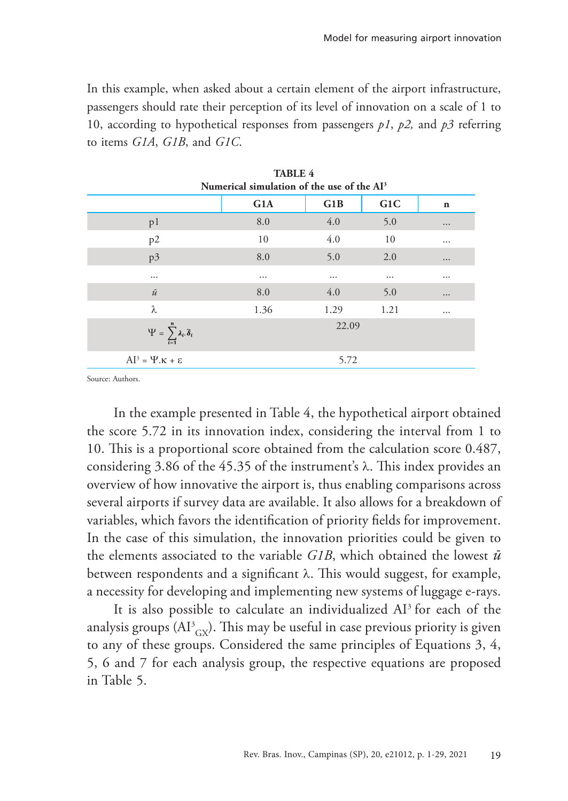In this example, when asked about a certain element of the airport infrastructure, passengers should rate their perception of its level of innovation on a scale of 1 to 10, according to hypothetical responses from passengers *p1*, *p2,* and *p3* referring to items *G1A*, *G1B*, and *G1C*.

**TABLE 4** 

| IABLE 4<br>Numerical simulation of the use of the AI <sup>3</sup> |          |       |                  |             |
|-------------------------------------------------------------------|----------|-------|------------------|-------------|
|                                                                   | G1A      | G1B   | G <sub>1</sub> C | $\mathbf n$ |
| p1                                                                | 8.0      | 4.0   | 5.0              | $\cdots$    |
| p2                                                                | 10       | 4.0   | 10               |             |
| p3                                                                | 8.0      | 5.0   | 2.0              | $\cdots$    |
| $\cdots$                                                          | $\cdots$ |       | $\cdots$         |             |
| $\bar{u}$                                                         | 8.0      | 4.0   | 5.0              | $\cdots$    |
| λ                                                                 | 1.36     | 1.29  | 1.21             |             |
| $\Psi = \sum_{i=1}^n \lambda_i \, \widetilde{\delta}_i$           |          | 22.09 |                  |             |
| $AI^3 = \Psi . \kappa + \varepsilon$                              |          | 5.72  |                  |             |

Source: Authors.

In the example presented in Table 4, the hypothetical airport obtained the score 5.72 in its innovation index, considering the interval from 1 to 10. This is a proportional score obtained from the calculation score 0.487, considering 3.86 of the 45.35 of the instrument's λ. This index provides an overview of how innovative the airport is, thus enabling comparisons across several airports if survey data are available. It also allows for a breakdown of variables, which favors the identification of priority fields for improvement. In the case of this simulation, the innovation priorities could be given to the elements associated to the variable *G1B*, which obtained the lowest *ū* between respondents and a significant  $\lambda$ . This would suggest, for example, a necessity for developing and implementing new systems of luggage e-rays.

It is also possible to calculate an individualized AI3 for each of the analysis groups  $(\text{Al}^3_{\text{GX}})$ . This may be useful in case previous priority is given to any of these groups. Considered the same principles of Equations 3, 4, 5, 6 and 7 for each analysis group, the respective equations are proposed in Table 5.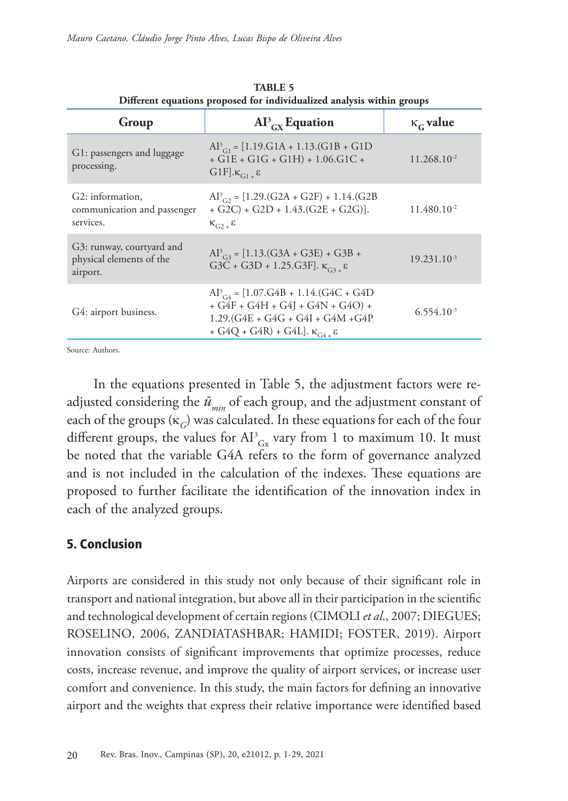| Group                                                             | $Al^{3}_{\quad cx}$ Equation                                                                                                                                               | $\kappa_{\rm G}$ value  |  |  |
|-------------------------------------------------------------------|----------------------------------------------------------------------------------------------------------------------------------------------------------------------------|-------------------------|--|--|
| G1: passengers and luggage<br>processing.                         | $Al^3_{Cl} = [1.19 \text{.} G1A + 1.13 \text{.} (G1B + G1D$<br>$+ G1E + G1G + G1H$ + 1.06.G1C +<br>$G1F].\kappa_{G1}$ $\epsilon$                                           | $11.268.10^{-2}$        |  |  |
| G2: information,<br>communication and passenger<br>services.      | $Al^{3}_{C2}$ = [1.29.(G2A + G2F) + 1.14.(G2B<br>$+ G2C$ ) + $G2D + 1.43(G2E + G2G)$ ].<br>$K_{C2}$ $\epsilon$                                                             | 11.480.10 <sup>-2</sup> |  |  |
| G3: runway, courtyard and<br>physical elements of the<br>airport. | $Al^{3}_{G3} = [1.13.(G3A + G3E) + G3B +$<br>G3C + G3D + 1.25.G3F]. $\kappa_{G_3}$ $\epsilon$                                                                              | $19.231.10^{-3}$        |  |  |
| G4: airport business.                                             | $Al^3_{C4}$ = [1.07.G4B + 1.14.(G4C + G4D<br>$+ G4F + G4H + G4J + G4N + G4O$ +<br>$1.29$ .(G4E + G4G + G4I + G4M +G4P<br>+ G4Q + G4R) + G4L]. $\kappa_{G4+}$ $\varepsilon$ | $6.554.10^{-3}$         |  |  |
|                                                                   |                                                                                                                                                                            |                         |  |  |

**TABLE 5 Different equations proposed for individualized analysis within groups**

Source: Authors.

In the equations presented in Table 5, the adjustment factors were readjusted considering the  $\bar{u}_{\text{min}}$  of each group, and the adjustment constant of each of the groups  $(\kappa_C)$  was calculated. In these equations for each of the four different groups, the values for  $\text{AI}^3_{\text{Gx}}$  vary from 1 to maximum 10. It must be noted that the variable G4A refers to the form of governance analyzed and is not included in the calculation of the indexes. These equations are proposed to further facilitate the identification of the innovation index in each of the analyzed groups.

### 5. Conclusion

Airports are considered in this study not only because of their significant role in transport and national integration, but above all in their participation in the scientific and technological development of certain regions (CIMOLI *et al*., 2007; DIEGUES; ROSELINO, 2006, ZANDIATASHBAR; HAMIDI; FOSTER, 2019). Airport innovation consists of significant improvements that optimize processes, reduce costs, increase revenue, and improve the quality of airport services, or increase user comfort and convenience. In this study, the main factors for defining an innovative airport and the weights that express their relative importance were identified based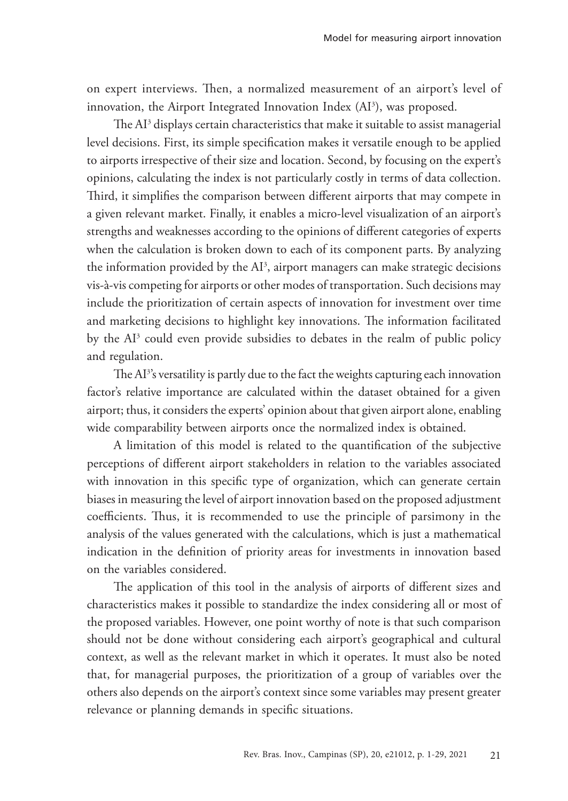on expert interviews. Then, a normalized measurement of an airport's level of innovation, the Airport Integrated Innovation Index (AI<sup>3</sup>), was proposed.

The  ${\rm Al^3}$  displays certain characteristics that make it suitable to assist managerial level decisions. First, its simple specification makes it versatile enough to be applied to airports irrespective of their size and location. Second, by focusing on the expert's opinions, calculating the index is not particularly costly in terms of data collection. Third, it simplifies the comparison between different airports that may compete in a given relevant market. Finally, it enables a micro-level visualization of an airport's strengths and weaknesses according to the opinions of different categories of experts when the calculation is broken down to each of its component parts. By analyzing the information provided by the  $Al^3$ , airport managers can make strategic decisions vis-à-vis competing for airports or other modes of transportation. Such decisions may include the prioritization of certain aspects of innovation for investment over time and marketing decisions to highlight key innovations. The information facilitated by the AI<sup>3</sup> could even provide subsidies to debates in the realm of public policy and regulation.

The AI<sup>3</sup>'s versatility is partly due to the fact the weights capturing each innovation factor's relative importance are calculated within the dataset obtained for a given airport; thus, it considers the experts' opinion about that given airport alone, enabling wide comparability between airports once the normalized index is obtained.

A limitation of this model is related to the quantification of the subjective perceptions of different airport stakeholders in relation to the variables associated with innovation in this specific type of organization, which can generate certain biases in measuring the level of airport innovation based on the proposed adjustment coefficients. Thus, it is recommended to use the principle of parsimony in the analysis of the values generated with the calculations, which is just a mathematical indication in the definition of priority areas for investments in innovation based on the variables considered.

The application of this tool in the analysis of airports of different sizes and characteristics makes it possible to standardize the index considering all or most of the proposed variables. However, one point worthy of note is that such comparison should not be done without considering each airport's geographical and cultural context, as well as the relevant market in which it operates. It must also be noted that, for managerial purposes, the prioritization of a group of variables over the others also depends on the airport's context since some variables may present greater relevance or planning demands in specific situations.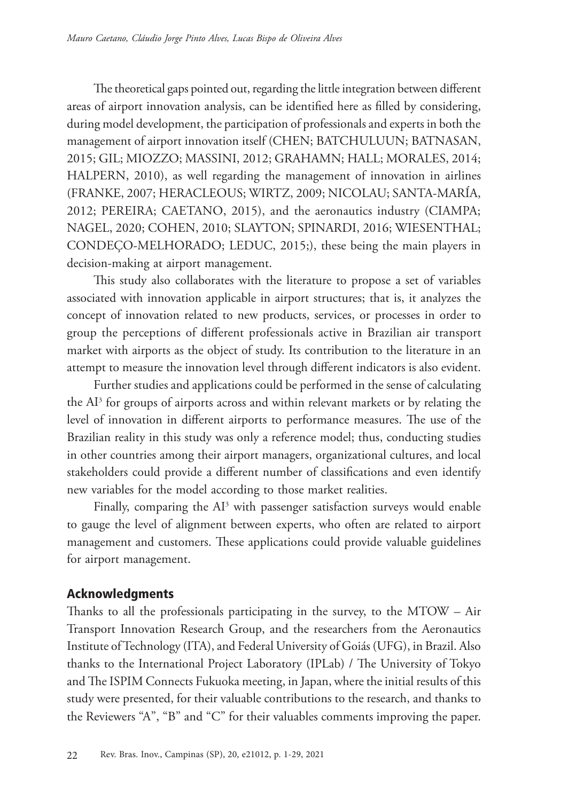The theoretical gaps pointed out, regarding the little integration between different areas of airport innovation analysis, can be identified here as filled by considering, during model development, the participation of professionals and experts in both the management of airport innovation itself (CHEN; BATCHULUUN; BATNASAN, 2015; GIL; MIOZZO; MASSINI, 2012; GRAHAMN; HALL; MORALES, 2014; HALPERN, 2010), as well regarding the management of innovation in airlines (FRANKE, 2007; HERACLEOUS; WIRTZ, 2009; NICOLAU; SANTA-MARÍA, 2012; PEREIRA; CAETANO, 2015), and the aeronautics industry (CIAMPA; NAGEL, 2020; COHEN, 2010; SLAYTON; SPINARDI, 2016; WIESENTHAL; CONDEÇO-MELHORADO; LEDUC, 2015;), these being the main players in decision-making at airport management.

This study also collaborates with the literature to propose a set of variables associated with innovation applicable in airport structures; that is, it analyzes the concept of innovation related to new products, services, or processes in order to group the perceptions of different professionals active in Brazilian air transport market with airports as the object of study. Its contribution to the literature in an attempt to measure the innovation level through different indicators is also evident.

Further studies and applications could be performed in the sense of calculating the  $Al<sup>3</sup>$  for groups of airports across and within relevant markets or by relating the level of innovation in different airports to performance measures. The use of the Brazilian reality in this study was only a reference model; thus, conducting studies in other countries among their airport managers, organizational cultures, and local stakeholders could provide a different number of classifications and even identify new variables for the model according to those market realities.

Finally, comparing the  $AI^3$  with passenger satisfaction surveys would enable to gauge the level of alignment between experts, who often are related to airport management and customers. These applications could provide valuable guidelines for airport management.

# Acknowledgments

Thanks to all the professionals participating in the survey, to the MTOW – Air Transport Innovation Research Group, and the researchers from the Aeronautics Institute of Technology (ITA), and Federal University of Goiás (UFG), in Brazil. Also thanks to the International Project Laboratory (IPLab) / The University of Tokyo and The ISPIM Connects Fukuoka meeting, in Japan, where the initial results of this study were presented, for their valuable contributions to the research, and thanks to the Reviewers "A", "B" and "C" for their valuables comments improving the paper.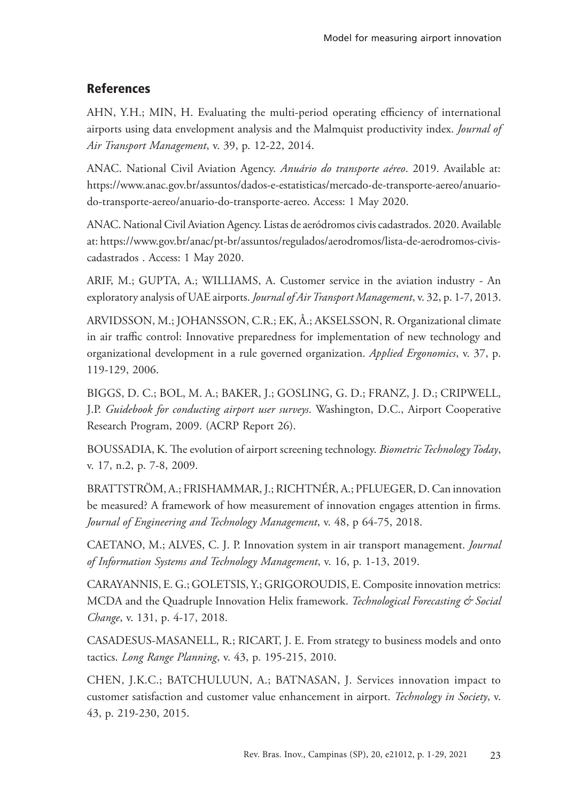# **References**

AHN, Y.H.; MIN, H. Evaluating the multi-period operating efficiency of international airports using data envelopment analysis and the Malmquist productivity index. *Journal of Air Transport Management*, v. 39, p. 12-22, 2014.

ANAC. National Civil Aviation Agency. *Anuário do transporte aéreo*. 2019. Available at: https://www.anac.gov.br/assuntos/dados-e-estatisticas/mercado-de-transporte-aereo/anuariodo-transporte-aereo/anuario-do-transporte-aereo. Access: 1 May 2020.

ANAC. National Civil Aviation Agency. Listas de aeródromos civis cadastrados. 2020. Available at: https://www.gov.br/anac/pt-br/assuntos/regulados/aerodromos/lista-de-aerodromos-civiscadastrados . Access: 1 May 2020.

ARIF, M.; GUPTA, A.; WILLIAMS, A. Customer service in the aviation industry - An exploratory analysis of UAE airports. *Journal of Air Transport Management*, v. 32, p. 1-7, 2013.

ARVIDSSON, M.; JOHANSSON, C.R.; EK, Å.; AKSELSSON, R. Organizational climate in air traffic control: Innovative preparedness for implementation of new technology and organizational development in a rule governed organization. *Applied Ergonomics*, v. 37, p. 119-129, 2006.

BIGGS, D. C.; BOL, M. A.; BAKER, J.; GOSLING, G. D.; FRANZ, J. D.; CRIPWELL, J.P. *Guidebook for conducting airport user surveys*. Washington, D.C., Airport Cooperative Research Program, 2009. (ACRP Report 26).

BOUSSADIA, K. The evolution of airport screening technology. *Biometric Technology Today*, v. 17, n.2, p. 7-8, 2009.

BRATTSTRÖM, A.; FRISHAMMAR, J.; RICHTNÉR, A.; PFLUEGER, D. Can innovation be measured? A framework of how measurement of innovation engages attention in firms. *Journal of Engineering and Technology Management*, v. 48, p 64-75, 2018.

CAETANO, M.; ALVES, C. J. P. Innovation system in air transport management. *Journal of Information Systems and Technology Management*, v. 16, p. 1-13, 2019.

CARAYANNIS, E. G.; GOLETSIS, Y.; GRIGOROUDIS, E. Composite innovation metrics: MCDA and the Quadruple Innovation Helix framework. *Technological Forecasting & Social Change*, v. 131, p. 4-17, 2018.

CASADESUS-MASANELL, R.; RICART, J. E. From strategy to business models and onto tactics. *Long Range Planning*, v. 43, p. 195-215, 2010.

CHEN, J.K.C.; BATCHULUUN, A.; BATNASAN, J. Services innovation impact to customer satisfaction and customer value enhancement in airport. *Technology in Society*, v. 43, p. 219-230, 2015.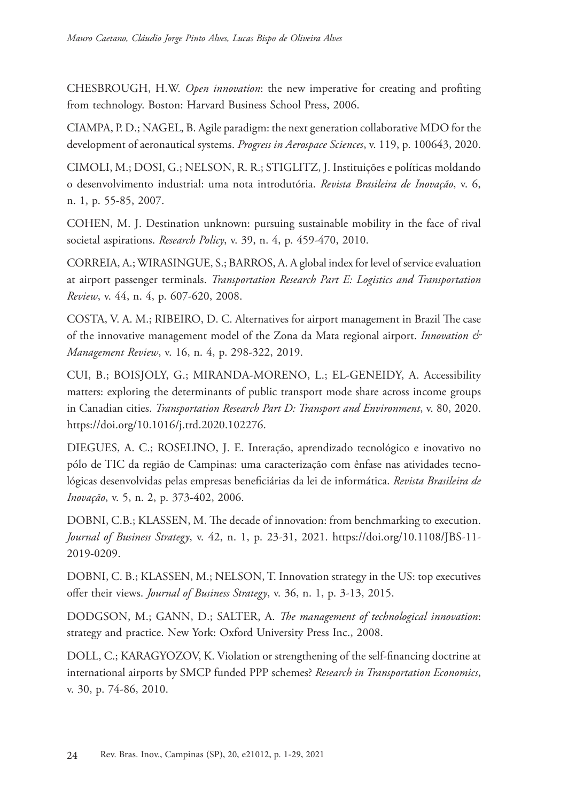CHESBROUGH, H.W. *Open innovation*: the new imperative for creating and profiting from technology. Boston: Harvard Business School Press, 2006.

CIAMPA, P. D.; NAGEL, B. Agile paradigm: the next generation collaborative MDO for the development of aeronautical systems. *Progress in Aerospace Sciences*, v. 119, p. 100643, 2020.

CIMOLI, M.; DOSI, G.; NELSON, R. R.; STIGLITZ, J. Instituições e políticas moldando o desenvolvimento industrial: uma nota introdutória. *Revista Brasileira de Inovação*, v. 6, n. 1, p. 55-85, 2007.

COHEN, M. J. Destination unknown: pursuing sustainable mobility in the face of rival societal aspirations. *Research Policy*, v. 39, n. 4, p. 459-470, 2010.

CORREIA, A.; WIRASINGUE, S.; BARROS, A. A global index for level of service evaluation at airport passenger terminals. *Transportation Research Part E: Logistics and Transportation Review*, v. 44, n. 4, p. 607-620, 2008.

COSTA, V. A. M.; RIBEIRO, D. C. Alternatives for airport management in Brazil The case of the innovative management model of the Zona da Mata regional airport. *Innovation & Management Review*, v. 16, n. 4, p. 298-322, 2019.

CUI, B.; BOISJOLY, G.; MIRANDA-MORENO, L.; EL-GENEIDY, A. Accessibility matters: exploring the determinants of public transport mode share across income groups in Canadian cities. *Transportation Research Part D: Transport and Environment*, v. 80, 2020. https://doi.org/10.1016/j.trd.2020.102276.

DIEGUES, A. C.; ROSELINO, J. E. Interação, aprendizado tecnológico e inovativo no pólo de TIC da região de Campinas: uma caracterização com ênfase nas atividades tecnológicas desenvolvidas pelas empresas beneficiárias da lei de informática. *Revista Brasileira de Inovação*, v. 5, n. 2, p. 373-402, 2006.

DOBNI, C.B.; KLASSEN, M. The decade of innovation: from benchmarking to execution. *Journal of Business Strategy*, v. 42, n. 1, p. 23-31, 2021. https://doi.org/10.1108/JBS-11- 2019-0209.

DOBNI, C. B.; KLASSEN, M.; NELSON, T. Innovation strategy in the US: top executives offer their views. *Journal of Business Strategy*, v. 36, n. 1, p. 3-13, 2015.

DODGSON, M.; GANN, D.; SALTER, A. *The management of technological innovation*: strategy and practice. New York: Oxford University Press Inc., 2008.

DOLL, C.; KARAGYOZOV, K. Violation or strengthening of the self-financing doctrine at international airports by SMCP funded PPP schemes? *Research in Transportation Economics*, v. 30, p. 74-86, 2010.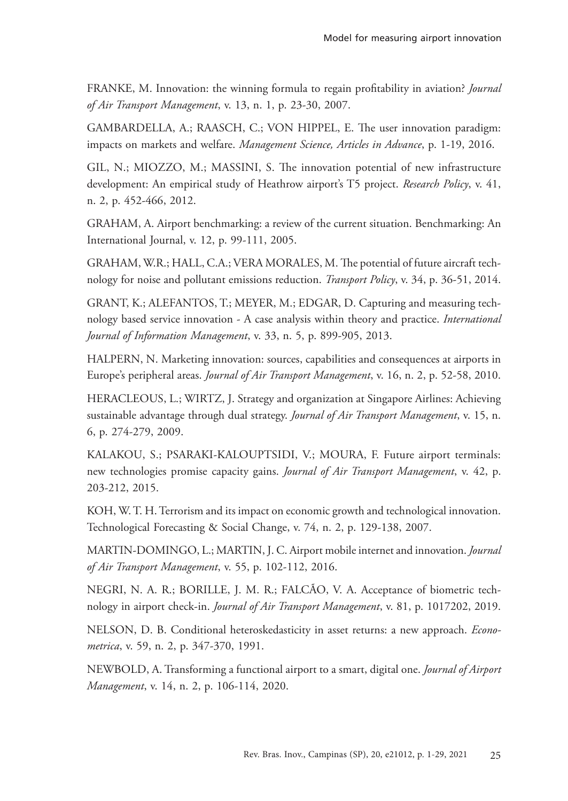FRANKE, M. Innovation: the winning formula to regain profitability in aviation? *Journal of Air Transport Management*, v. 13, n. 1, p. 23-30, 2007.

GAMBARDELLA, A.; RAASCH, C.; VON HIPPEL, E. The user innovation paradigm: impacts on markets and welfare. *Management Science, Articles in Advance*, p. 1-19, 2016.

GIL, N.; MIOZZO, M.; MASSINI, S. The innovation potential of new infrastructure development: An empirical study of Heathrow airport's T5 project. *Research Policy*, v. 41, n. 2, p. 452-466, 2012.

GRAHAM, A. Airport benchmarking: a review of the current situation. Benchmarking: An International Journal, v. 12, p. 99-111, 2005.

GRAHAM, W.R.; HALL, C.A.; VERA MORALES, M. The potential of future aircraft technology for noise and pollutant emissions reduction. *Transport Policy*, v. 34, p. 36-51, 2014.

GRANT, K.; ALEFANTOS, T.; MEYER, M.; EDGAR, D. Capturing and measuring technology based service innovation - A case analysis within theory and practice. *International Journal of Information Management*, v. 33, n. 5, p. 899-905, 2013.

HALPERN, N. Marketing innovation: sources, capabilities and consequences at airports in Europe's peripheral areas. *Journal of Air Transport Management*, v. 16, n. 2, p. 52-58, 2010.

HERACLEOUS, L.; WIRTZ, J. Strategy and organization at Singapore Airlines: Achieving sustainable advantage through dual strategy. *Journal of Air Transport Management*, v. 15, n. 6, p. 274-279, 2009.

KALAKOU, S.; PSARAKI-KALOUPTSIDI, V.; MOURA, F. Future airport terminals: new technologies promise capacity gains. *Journal of Air Transport Management*, v. 42, p. 203-212, 2015.

KOH, W. T. H. Terrorism and its impact on economic growth and technological innovation. Technological Forecasting & Social Change, v. 74, n. 2, p. 129-138, 2007.

MARTIN-DOMINGO, L.; MARTIN, J. C. Airport mobile internet and innovation. *Journal of Air Transport Management*, v. 55, p. 102-112, 2016.

NEGRI, N. A. R.; BORILLE, J. M. R.; FALCÃO, V. A. Acceptance of biometric technology in airport check-in. *Journal of Air Transport Management*, v. 81, p. 1017202, 2019.

NELSON, D. B. Conditional heteroskedasticity in asset returns: a new approach. *Econometrica*, v. 59, n. 2, p. 347-370, 1991.

NEWBOLD, A. Transforming a functional airport to a smart, digital one. *Journal of Airport Management*, v. 14, n. 2, p. 106-114, 2020.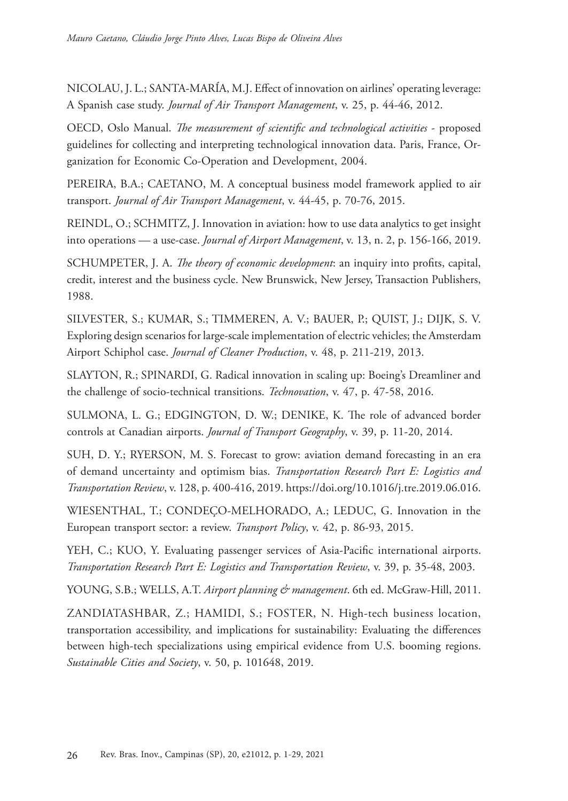NICOLAU, J. L.; SANTA-MARÍA, M.J. Effect of innovation on airlines' operating leverage: A Spanish case study. *Journal of Air Transport Management*, v. 25, p. 44-46, 2012.

OECD, Oslo Manual. *The measurement of scientific and technological activities* - proposed guidelines for collecting and interpreting technological innovation data. Paris, France, Organization for Economic Co-Operation and Development, 2004.

PEREIRA, B.A.; CAETANO, M. A conceptual business model framework applied to air transport. *Journal of Air Transport Management*, v. 44-45, p. 70-76, 2015.

REINDL, O.; SCHMITZ, J. Innovation in aviation: how to use data analytics to get insight into operations — a use-case. *Journal of Airport Management*, v. 13, n. 2, p. 156-166, 2019.

SCHUMPETER, J. A. *The theory of economic development*: an inquiry into profits, capital, credit, interest and the business cycle. New Brunswick, New Jersey, Transaction Publishers, 1988.

SILVESTER, S.; KUMAR, S.; TIMMEREN, A. V.; BAUER, P.; QUIST, J.; DIJK, S. V. Exploring design scenarios for large-scale implementation of electric vehicles; the Amsterdam Airport Schiphol case. *Journal of Cleaner Production*, v. 48, p. 211-219, 2013.

SLAYTON, R.; SPINARDI, G. Radical innovation in scaling up: Boeing's Dreamliner and the challenge of socio-technical transitions. *Technovation*, v. 47, p. 47-58, 2016.

SULMONA, L. G.; EDGINGTON, D. W.; DENIKE, K. The role of advanced border controls at Canadian airports. *Journal of Transport Geography*, v. 39, p. 11-20, 2014.

SUH, D. Y.; RYERSON, M. S. Forecast to grow: aviation demand forecasting in an era of demand uncertainty and optimism bias. *Transportation Research Part E: Logistics and Transportation Review*, v. 128, p. 400-416, 2019. https://doi.org/10.1016/j.tre.2019.06.016.

WIESENTHAL, T.; CONDEÇO-MELHORADO, A.; LEDUC, G. Innovation in the European transport sector: a review. *Transport Policy*, v. 42, p. 86-93, 2015.

YEH, C.; KUO, Y. Evaluating passenger services of Asia-Pacific international airports. *Transportation Research Part E: Logistics and Transportation Review*, v. 39, p. 35-48, 2003.

YOUNG, S.B.; WELLS, A.T. *Airport planning & management*. 6th ed. McGraw-Hill, 2011.

ZANDIATASHBAR, Z.; HAMIDI, S.; FOSTER, N. High-tech business location, transportation accessibility, and implications for sustainability: Evaluating the differences between high-tech specializations using empirical evidence from U.S. booming regions. *Sustainable Cities and Society*, v. 50, p. 101648, 2019.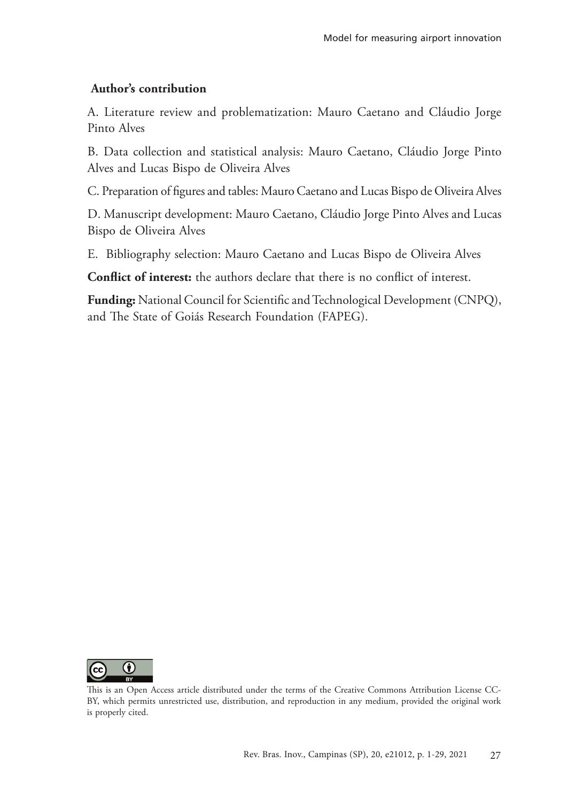## **Author's contribution**

A. Literature review and problematization: Mauro Caetano and Cláudio Jorge Pinto Alves

B. Data collection and statistical analysis: Mauro Caetano, Cláudio Jorge Pinto Alves and Lucas Bispo de Oliveira Alves

C. Preparation of figures and tables: Mauro Caetano and Lucas Bispo de Oliveira Alves

D. Manuscript development: Mauro Caetano, Cláudio Jorge Pinto Alves and Lucas Bispo de Oliveira Alves

E. Bibliography selection: Mauro Caetano and Lucas Bispo de Oliveira Alves

**Conflict of interest:** the authors declare that there is no conflict of interest.

**Funding:** National Council for Scientific and Technological Development (CNPQ), and The State of Goiás Research Foundation (FAPEG).



This is an Open Access article distributed under the terms of the Creative Commons Attribution License CC-BY, which permits unrestricted use, distribution, and reproduction in any medium, provided the original work is properly cited.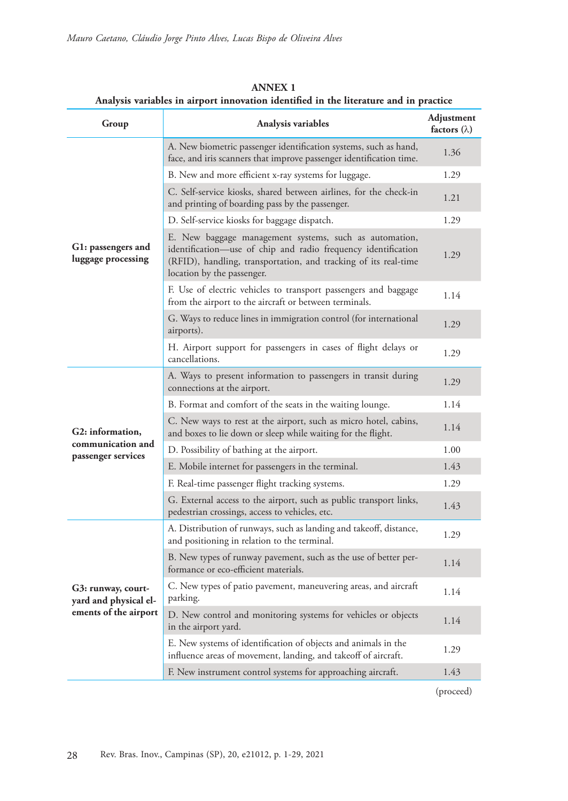| Group                                                                | Analysis variables                                                                                                                                                                                                       | Adjustment<br>factors $(\lambda)$ |
|----------------------------------------------------------------------|--------------------------------------------------------------------------------------------------------------------------------------------------------------------------------------------------------------------------|-----------------------------------|
|                                                                      | A. New biometric passenger identification systems, such as hand,<br>face, and iris scanners that improve passenger identification time.                                                                                  | 1.36                              |
|                                                                      | B. New and more efficient x-ray systems for luggage.                                                                                                                                                                     | 1.29                              |
|                                                                      | C. Self-service kiosks, shared between airlines, for the check-in<br>and printing of boarding pass by the passenger.                                                                                                     | 1.21                              |
|                                                                      | D. Self-service kiosks for baggage dispatch.                                                                                                                                                                             | 1.29                              |
| G1: passengers and<br>luggage processing                             | E. New baggage management systems, such as automation,<br>identification—use of chip and radio frequency identification<br>(RFID), handling, transportation, and tracking of its real-time<br>location by the passenger. | 1.29                              |
|                                                                      | F. Use of electric vehicles to transport passengers and baggage<br>from the airport to the aircraft or between terminals.                                                                                                | 1.14                              |
|                                                                      | G. Ways to reduce lines in immigration control (for international<br>airports).                                                                                                                                          | 1.29                              |
|                                                                      | H. Airport support for passengers in cases of flight delays or<br>cancellations.                                                                                                                                         | 1.29                              |
| G2: information,                                                     | A. Ways to present information to passengers in transit during<br>connections at the airport.                                                                                                                            | 1.29                              |
|                                                                      | B. Format and comfort of the seats in the waiting lounge.                                                                                                                                                                | 1.14                              |
|                                                                      | C. New ways to rest at the airport, such as micro hotel, cabins,<br>and boxes to lie down or sleep while waiting for the flight.                                                                                         | 1.14                              |
| communication and<br>passenger services                              | D. Possibility of bathing at the airport.                                                                                                                                                                                | 1.00                              |
|                                                                      | E. Mobile internet for passengers in the terminal.                                                                                                                                                                       | 1.43                              |
|                                                                      | F. Real-time passenger flight tracking systems.                                                                                                                                                                          | 1.29                              |
|                                                                      | G. External access to the airport, such as public transport links,<br>pedestrian crossings, access to vehicles, etc.                                                                                                     | 1.43                              |
| G3: runway, court-<br>yard and physical el-<br>ements of the airport | A. Distribution of runways, such as landing and takeoff, distance,<br>and positioning in relation to the terminal.                                                                                                       | 1.29                              |
|                                                                      | B. New types of runway pavement, such as the use of better per-<br>formance or eco-efficient materials.                                                                                                                  | 1.14                              |
|                                                                      | C. New types of patio pavement, maneuvering areas, and aircraft<br>parking.                                                                                                                                              | 1.14                              |
|                                                                      | D. New control and monitoring systems for vehicles or objects<br>in the airport yard.                                                                                                                                    | 1.14                              |
|                                                                      | E. New systems of identification of objects and animals in the<br>influence areas of movement, landing, and takeoff of aircraft.                                                                                         | 1.29                              |
|                                                                      | F. New instrument control systems for approaching aircraft.                                                                                                                                                              | 1.43                              |

**ANNEX 1 Analysis variables in airport innovation identified in the literature and in practice**

(proceed)